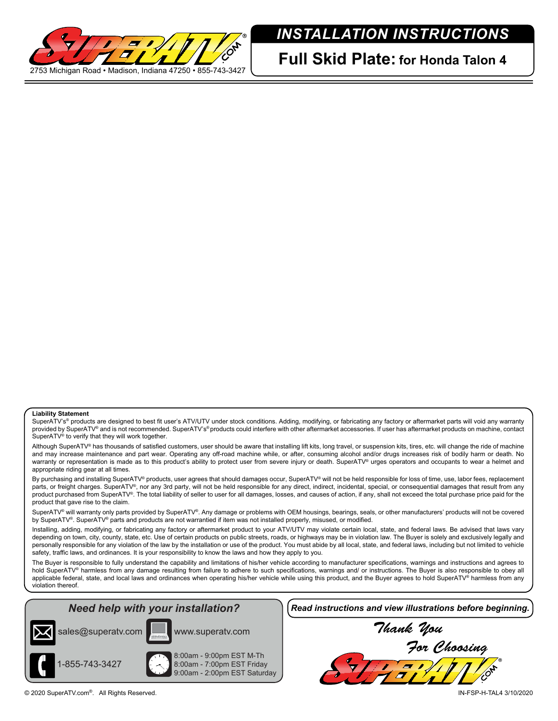

## *INSTALLATION INSTRUCTIONS*

**Full Skid Plate: for Honda Talon 4**

## **Liability Statement**

SuperATV's<sup>®</sup> products are designed to best fit user's ATV/UTV under stock conditions. Adding, modifying, or fabricating any factory or aftermarket parts will void any warranty provided by SuperATV® and is not recommended. SuperATV's® products could interfere with other aftermarket accessories. If user has aftermarket products on machine, contact SuperATV® to verify that they will work together.

Although SuperATV® has thousands of satisfied customers, user should be aware that installing lift kits, long travel, or suspension kits, tires, etc. will change the ride of machine and may increase maintenance and part wear. Operating any off-road machine while, or after, consuming alcohol and/or drugs increases risk of bodily harm or death. No warranty or representation is made as to this product's ability to protect user from severe injury or death. SuperATV® urges operators and occupants to wear a helmet and appropriate riding gear at all times.

By purchasing and installing SuperATV<sup>®</sup> products, user agrees that should damages occur, SuperATV<sup>®</sup> will not be held responsible for loss of time, use, labor fees, replacement parts, or freight charges. SuperATV®, nor any 3rd party, will not be held responsible for any direct, indirect, incidental, special, or consequential damages that result from any product purchased from SuperATV®. The total liability of seller to user for all damages, losses, and causes of action, if any, shall not exceed the total purchase price paid for the product that gave rise to the claim.

SuperATV® will warranty only parts provided by SuperATV®. Any damage or problems with OEM housings, bearings, seals, or other manufacturers' products will not be covered by SuperATV®. SuperATV® parts and products are not warrantied if item was not installed properly, misused, or modified.

Installing, adding, modifying, or fabricating any factory or aftermarket product to your ATV/UTV may violate certain local, state, and federal laws. Be advised that laws vary depending on town, city, county, state, etc. Use of certain products on public streets, roads, or highways may be in violation law. The Buyer is solely and exclusively legally and personally responsible for any violation of the law by the installation or use of the product. You must abide by all local, state, and federal laws, including but not limited to vehicle safety, traffic laws, and ordinances. It is your responsibility to know the laws and how they apply to you.

The Buyer is responsible to fully understand the capability and limitations of his/her vehicle according to manufacturer specifications, warnings and instructions and agrees to hold SuperATV<sup>®</sup> harmless from any damage resulting from failure to adhere to such specifications, warnings and/ or instructions. The Buyer is also responsible to obey all applicable federal, state, and local laws and ordinances when operating his/her vehicle while using this product, and the Buyer agrees to hold SuperATV® harmless from any violation thereof.

## *Need help with your installation?*





1-855-743-3427

8:00am - 9:00pm EST M-Th 8:00am - 7:00pm EST Friday 9:00am - 2:00pm EST Saturday *Read instructions and view illustrations before beginning.*

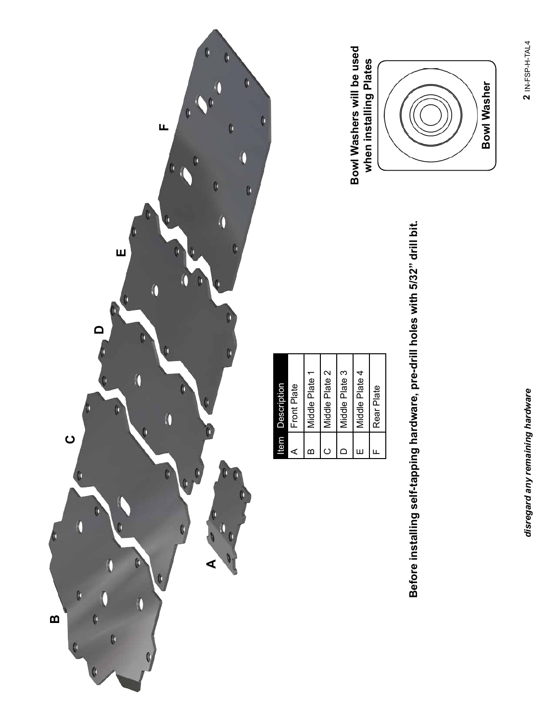

Before installing self-tapping hardware, pre-drill holes with 5/32" drill bit. **Before installing self-tapping hardware, pre-drill holes with 5/32" drill bit.**

| Description | Front Plate | Middle Plate 1 | Middle Plate 2 | Middle Plate 3 | Middle Plate 4 | Rear Plate |  |
|-------------|-------------|----------------|----------------|----------------|----------------|------------|--|
| ltem        |             | m              |                | ⋍              | ш              |            |  |

**Bowl Washers will be used** 

Bowl Washers will be used

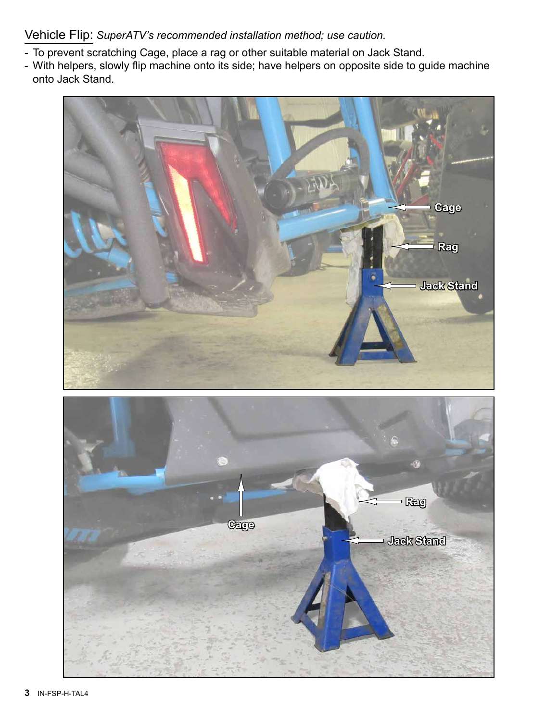Vehicle Flip: *SuperATV's recommended installation method; use caution.*

- To prevent scratching Cage, place a rag or other suitable material on Jack Stand.
- With helpers, slowly flip machine onto its side; have helpers on opposite side to guide machine onto Jack Stand.



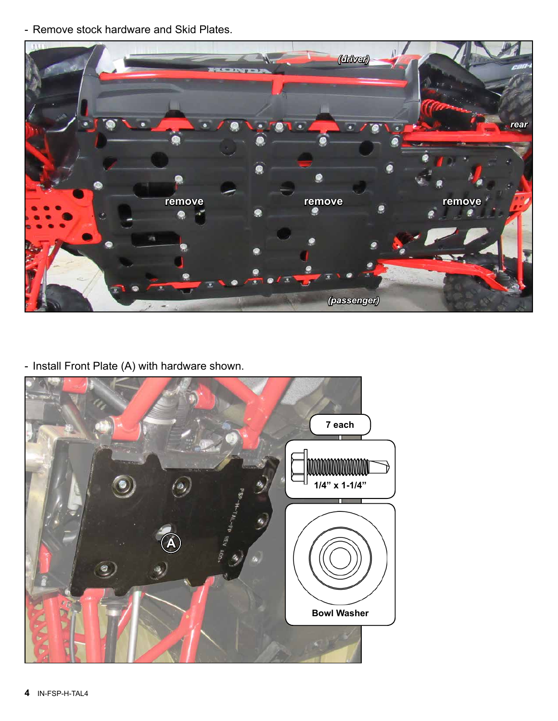- Remove stock hardware and Skid Plates.



- Install Front Plate (A) with hardware shown.

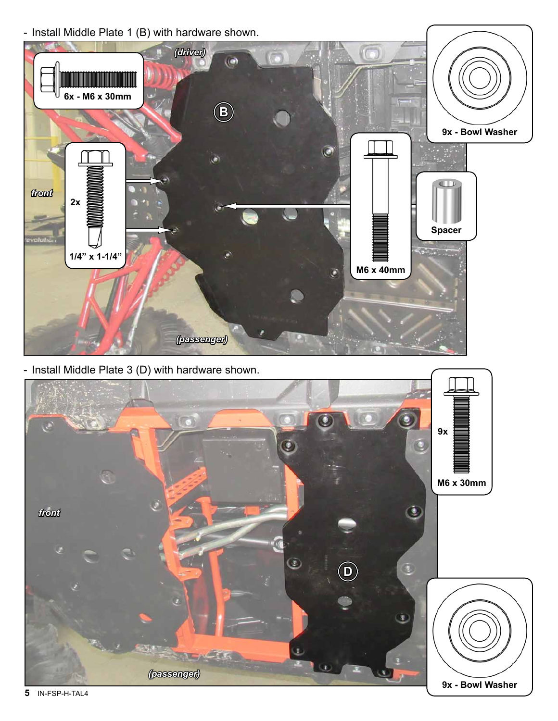- Install Middle Plate 1 (B) with hardware shown.



- Install Middle Plate 3 (D) with hardware shown.



**5** IN-FSP-H-TAL4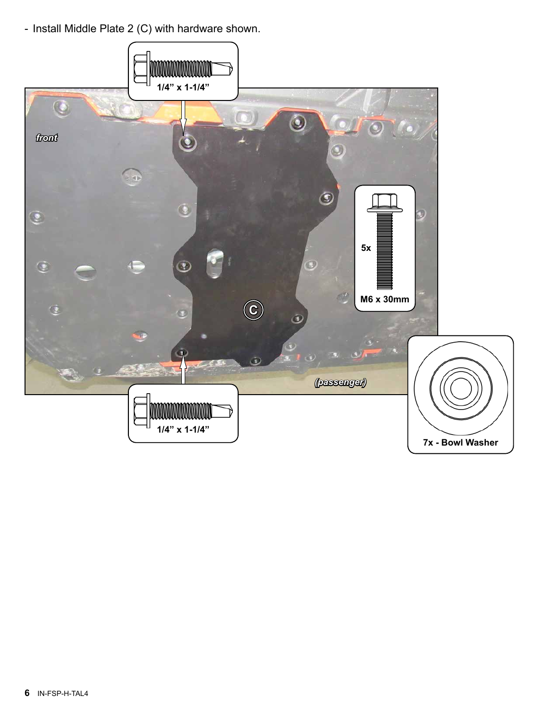- Install Middle Plate 2 (C) with hardware shown.

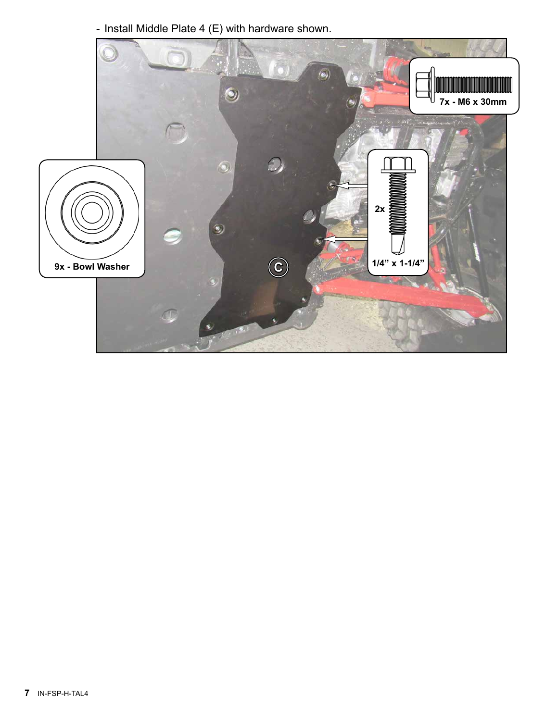- Install Middle Plate 4 (E) with hardware shown.